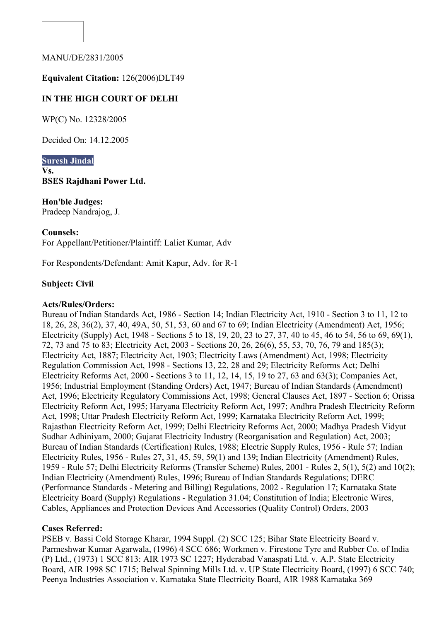

MANU/DE/2831/2005

### **Equivalent Citation:** 126(2006)DLT49

# **IN THE HIGH COURT OF DELHI**

WP(C) No. 12328/2005

Decided On: 14.12.2005

**Suresh Jindal Vs. BSES Rajdhani Power Ltd.**

**Hon'ble Judges:**  Pradeep Nandrajog, J.

#### **Counsels:**

For Appellant/Petitioner/Plaintiff: Laliet Kumar, Adv

For Respondents/Defendant: Amit Kapur, Adv. for R-1

#### **Subject: Civil**

#### **Acts/Rules/Orders:**

Bureau of Indian Standards Act, 1986 - Section 14; Indian Electricity Act, 1910 - Section 3 to 11, 12 to 18, 26, 28, 36(2), 37, 40, 49A, 50, 51, 53, 60 and 67 to 69; Indian Electricity (Amendment) Act, 1956; Electricity (Supply) Act, 1948 - Sections 5 to 18, 19, 20, 23 to 27, 37, 40 to 45, 46 to 54, 56 to 69, 69(1), 72, 73 and 75 to 83; Electricity Act, 2003 - Sections 20, 26, 26(6), 55, 53, 70, 76, 79 and 185(3); Electricity Act, 1887; Electricity Act, 1903; Electricity Laws (Amendment) Act, 1998; Electricity Regulation Commission Act, 1998 - Sections 13, 22, 28 and 29; Electricity Reforms Act; Delhi Electricity Reforms Act, 2000 - Sections 3 to 11, 12, 14, 15, 19 to 27, 63 and 63(3); Companies Act, 1956; Industrial Employment (Standing Orders) Act, 1947; Bureau of Indian Standards (Amendment) Act, 1996; Electricity Regulatory Commissions Act, 1998; General Clauses Act, 1897 - Section 6; Orissa Electricity Reform Act, 1995; Haryana Electricity Reform Act, 1997; Andhra Pradesh Electricity Reform Act, 1998; Uttar Pradesh Electricity Reform Act, 1999; Karnataka Electricity Reform Act, 1999; Rajasthan Electricity Reform Act, 1999; Delhi Electricity Reforms Act, 2000; Madhya Pradesh Vidyut Sudhar Adhiniyam, 2000; Gujarat Electricity Industry (Reorganisation and Regulation) Act, 2003; Bureau of Indian Standards (Certification) Rules, 1988; Electric Supply Rules, 1956 - Rule 57; Indian Electricity Rules, 1956 - Rules 27, 31, 45, 59, 59(1) and 139; Indian Electricity (Amendment) Rules, 1959 - Rule 57; Delhi Electricity Reforms (Transfer Scheme) Rules, 2001 - Rules 2, 5(1), 5(2) and 10(2); Indian Electricity (Amendment) Rules, 1996; Bureau of Indian Standards Regulations; DERC (Performance Standards - Metering and Billing) Regulations, 2002 - Regulation 17; Karnataka State Electricity Board (Supply) Regulations - Regulation 31.04; Constitution of India; Electronic Wires, Cables, Appliances and Protection Devices And Accessories (Quality Control) Orders, 2003

#### **Cases Referred:**

PSEB v. Bassi Cold Storage Kharar, 1994 Suppl. (2) SCC 125; Bihar State Electricity Board v. Parmeshwar Kumar Agarwala, (1996) 4 SCC 686; Workmen v. Firestone Tyre and Rubber Co. of India (P) Ltd., (1973) 1 SCC 813: AIR 1973 SC 1227; Hyderabad Vanaspati Ltd. v. A.P. State Electricity Board, AIR 1998 SC 1715; Belwal Spinning Mills Ltd. v. UP State Electricity Board, (1997) 6 SCC 740; Peenya Industries Association v. Karnataka State Electricity Board, AIR 1988 Karnataka 369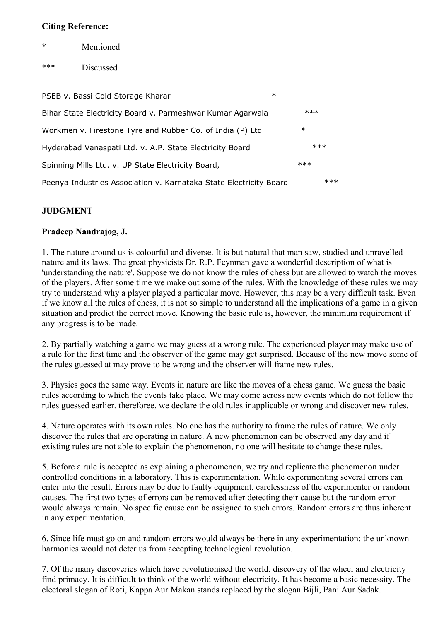#### **Citing Reference:**

- **Mentioned**
- \*\*\* Discussed

| PSEB v. Bassi Cold Storage Kharar                                  | $\ast$ |
|--------------------------------------------------------------------|--------|
| Bihar State Electricity Board v. Parmeshwar Kumar Agarwala         | $***$  |
| Workmen v. Firestone Tyre and Rubber Co. of India (P) Ltd          | $\ast$ |
| Hyderabad Vanaspati Ltd. v. A.P. State Electricity Board           | $***$  |
| Spinning Mills Ltd. v. UP State Electricity Board,                 | $***$  |
| Peenya Industries Association v. Karnataka State Electricity Board | $***$  |

### **JUDGMENT**

### **Pradeep Nandrajog, J.**

1. The nature around us is colourful and diverse. It is but natural that man saw, studied and unravelled nature and its laws. The great physicists Dr. R.P. Feynman gave a wonderful description of what is 'understanding the nature'. Suppose we do not know the rules of chess but are allowed to watch the moves of the players. After some time we make out some of the rules. With the knowledge of these rules we may try to understand why a player played a particular move. However, this may be a very difficult task. Even if we know all the rules of chess, it is not so simple to understand all the implications of a game in a given situation and predict the correct move. Knowing the basic rule is, however, the minimum requirement if any progress is to be made.

2. By partially watching a game we may guess at a wrong rule. The experienced player may make use of a rule for the first time and the observer of the game may get surprised. Because of the new move some of the rules guessed at may prove to be wrong and the observer will frame new rules.

3. Physics goes the same way. Events in nature are like the moves of a chess game. We guess the basic rules according to which the events take place. We may come across new events which do not follow the rules guessed earlier. thereforee, we declare the old rules inapplicable or wrong and discover new rules.

4. Nature operates with its own rules. No one has the authority to frame the rules of nature. We only discover the rules that are operating in nature. A new phenomenon can be observed any day and if existing rules are not able to explain the phenomenon, no one will hesitate to change these rules.

5. Before a rule is accepted as explaining a phenomenon, we try and replicate the phenomenon under controlled conditions in a laboratory. This is experimentation. While experimenting several errors can enter into the result. Errors may be due to faulty equipment, carelessness of the experimenter or random causes. The first two types of errors can be removed after detecting their cause but the random error would always remain. No specific cause can be assigned to such errors. Random errors are thus inherent in any experimentation.

6. Since life must go on and random errors would always be there in any experimentation; the unknown harmonics would not deter us from accepting technological revolution.

7. Of the many discoveries which have revolutionised the world, discovery of the wheel and electricity find primacy. It is difficult to think of the world without electricity. It has become a basic necessity. The electoral slogan of Roti, Kappa Aur Makan stands replaced by the slogan Bijli, Pani Aur Sadak.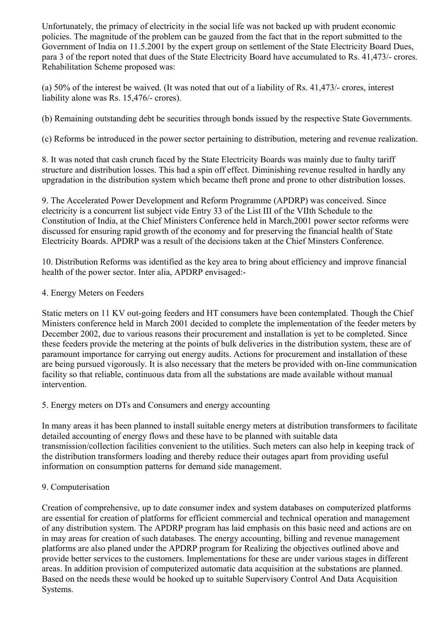Unfortunately, the primacy of electricity in the social life was not backed up with prudent economic policies. The magnitude of the problem can be gauzed from the fact that in the report submitted to the Government of India on 11.5.2001 by the expert group on settlement of the State Electricity Board Dues, para 3 of the report noted that dues of the State Electricity Board have accumulated to Rs. 41,473/- crores. Rehabilitation Scheme proposed was:

(a) 50% of the interest be waived. (It was noted that out of a liability of Rs. 41,473/- crores, interest liability alone was Rs. 15,476/- crores).

(b) Remaining outstanding debt be securities through bonds issued by the respective State Governments.

(c) Reforms be introduced in the power sector pertaining to distribution, metering and revenue realization.

8. It was noted that cash crunch faced by the State Electricity Boards was mainly due to faulty tariff structure and distribution losses. This had a spin off effect. Diminishing revenue resulted in hardly any upgradation in the distribution system which became theft prone and prone to other distribution losses.

9. The Accelerated Power Development and Reform Programme (APDRP) was conceived. Since electricity is a concurrent list subject vide Entry 33 of the List III of the VIIth Schedule to the Constitution of India, at the Chief Ministers Conference held in March,2001 power sector reforms were discussed for ensuring rapid growth of the economy and for preserving the financial health of State Electricity Boards. APDRP was a result of the decisions taken at the Chief Minsters Conference.

10. Distribution Reforms was identified as the key area to bring about efficiency and improve financial health of the power sector. Inter alia, APDRP envisaged:-

### 4. Energy Meters on Feeders

Static meters on 11 KV out-going feeders and HT consumers have been contemplated. Though the Chief Ministers conference held in March 2001 decided to complete the implementation of the feeder meters by December 2002, due to various reasons their procurement and installation is yet to be completed. Since these feeders provide the metering at the points of bulk deliveries in the distribution system, these are of paramount importance for carrying out energy audits. Actions for procurement and installation of these are being pursued vigorously. It is also necessary that the meters be provided with on-line communication facility so that reliable, continuous data from all the substations are made available without manual intervention.

### 5. Energy meters on DTs and Consumers and energy accounting

In many areas it has been planned to install suitable energy meters at distribution transformers to facilitate detailed accounting of energy flows and these have to be planned with suitable data transmission/collection facilities convenient to the utilities. Such meters can also help in keeping track of the distribution transformers loading and thereby reduce their outages apart from providing useful information on consumption patterns for demand side management.

# 9. Computerisation

Creation of comprehensive, up to date consumer index and system databases on computerized platforms are essential for creation of platforms for efficient commercial and technical operation and management of any distribution system. The APDRP program has laid emphasis on this basic need and actions are on in may areas for creation of such databases. The energy accounting, billing and revenue management platforms are also planed under the APDRP program for Realizing the objectives outlined above and provide better services to the customers. Implementations for these are under various stages in different areas. In addition provision of computerized automatic data acquisition at the substations are planned. Based on the needs these would be hooked up to suitable Supervisory Control And Data Acquisition Systems.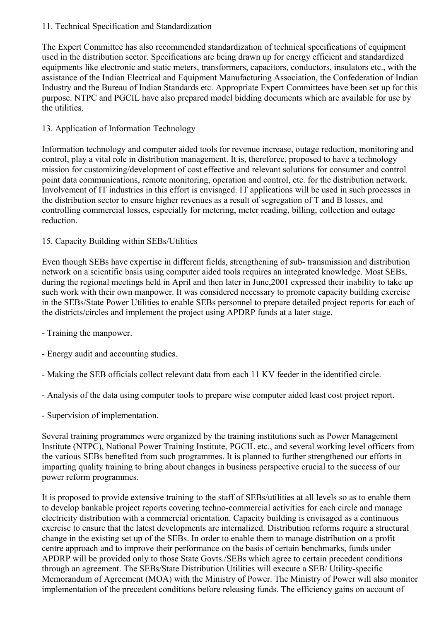### 11. Technical Specification and Standardization

The Expert Committee has also recommended standardization of technical specifications of equipment used in the distribution sector. Specifications are being drawn up for energy efficient and standardized equipments like electronic and static meters, transformers, capacitors, conductors, insulators etc., with the assistance of the Indian Electrical and Equipment Manufacturing Association, the Confederation of Indian Industry and the Bureau of Indian Standards etc. Appropriate Expert Committees have been set up for this purpose. NTPC and PGCIL have also prepared model bidding documents which are available for use by the utilities.

# 13. Application of Information Technology

Information technology and computer aided tools for revenue increase, outage reduction, monitoring and control, play a vital role in distribution management. It is, thereforee, proposed to have a technology mission for customizing/development of cost effective and relevant solutions for consumer and control point data communications, remote monitoring, operation and control, etc. for the distribution network. Involvement of IT industries in this effort is envisaged. IT applications will be used in such processes in the distribution sector to ensure higher revenues as a result of segregation of T and B losses, and controlling commercial losses, especially for metering, meter reading, billing, collection and outage reduction.

# 15. Capacity Building within SEBs/Utilities

Even though SEBs have expertise in different fields, strengthening of sub- transmission and distribution network on a scientific basis using computer aided tools requires an integrated knowledge. Most SEBs, during the regional meetings held in April and then later in June,2001 expressed their inability to take up such work with their own manpower. It was considered necessary to promote capacity building exercise in the SEBs/State Power Utilities to enable SEBs personnel to prepare detailed project reports for each of the districts/circles and implement the project using APDRP funds at a later stage.

- Training the manpower.
- Energy audit and accounting studies.
- Making the SEB officials collect relevant data from each 11 KV feeder in the identified circle.
- Analysis of the data using computer tools to prepare wise computer aided least cost project report.
- Supervision of implementation.

Several training programmes were organized by the training institutions such as Power Management Institute (NTPC), National Power Training Institute, PGCIL etc., and several working level officers from the various SEBs benefited from such programmes. It is planned to further strengthened our efforts in imparting quality training to bring about changes in business perspective crucial to the success of our power reform programmes.

It is proposed to provide extensive training to the staff of SEBs/utilities at all levels so as to enable them to develop bankable project reports covering techno-commercial activities for each circle and manage electricity distribution with a commercial orientation. Capacity building is envisaged as a continuous exercise to ensure that the latest developments are internalized. Distribution reforms require a structural change in the existing set up of the SEBs. In order to enable them to manage distribution on a profit centre approach and to improve their performance on the basis of certain benchmarks, funds under APDRP will be provided only to those State Govts./SEBs which agree to certain precedent conditions through an agreement. The SEBs/State Distribution Utilities will execute a SEB/ Utility-specific Memorandum of Agreement (MOA) with the Ministry of Power. The Ministry of Power will also monitor implementation of the precedent conditions before releasing funds. The efficiency gains on account of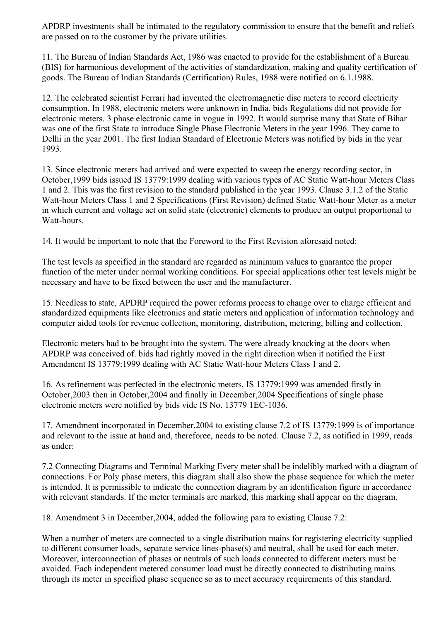APDRP investments shall be intimated to the regulatory commission to ensure that the benefit and reliefs are passed on to the customer by the private utilities.

11. The Bureau of Indian Standards Act, 1986 was enacted to provide for the establishment of a Bureau (BIS) for harmonious development of the activities of standardization, making and quality certification of goods. The Bureau of Indian Standards (Certification) Rules, 1988 were notified on 6.1.1988.

12. The celebrated scientist Ferrari had invented the electromagnetic disc meters to record electricity consumption. In 1988, electronic meters were unknown in India. bids Regulations did not provide for electronic meters. 3 phase electronic came in vogue in 1992. It would surprise many that State of Bihar was one of the first State to introduce Single Phase Electronic Meters in the year 1996. They came to Delhi in the year 2001. The first Indian Standard of Electronic Meters was notified by bids in the year 1993.

13. Since electronic meters had arrived and were expected to sweep the energy recording sector, in October,1999 bids issued IS 13779:1999 dealing with various types of AC Static Watt-hour Meters Class 1 and 2. This was the first revision to the standard published in the year 1993. Clause 3.1.2 of the Static Watt-hour Meters Class 1 and 2 Specifications (First Revision) defined Static Watt-hour Meter as a meter in which current and voltage act on solid state (electronic) elements to produce an output proportional to Watt-hours.

14. It would be important to note that the Foreword to the First Revision aforesaid noted:

The test levels as specified in the standard are regarded as minimum values to guarantee the proper function of the meter under normal working conditions. For special applications other test levels might be necessary and have to be fixed between the user and the manufacturer.

15. Needless to state, APDRP required the power reforms process to change over to charge efficient and standardized equipments like electronics and static meters and application of information technology and computer aided tools for revenue collection, monitoring, distribution, metering, billing and collection.

Electronic meters had to be brought into the system. The were already knocking at the doors when APDRP was conceived of. bids had rightly moved in the right direction when it notified the First Amendment IS 13779:1999 dealing with AC Static Watt-hour Meters Class 1 and 2.

16. As refinement was perfected in the electronic meters, IS 13779:1999 was amended firstly in October,2003 then in October,2004 and finally in December,2004 Specifications of single phase electronic meters were notified by bids vide IS No. 13779 1EC-1036.

17. Amendment incorporated in December,2004 to existing clause 7.2 of IS 13779:1999 is of importance and relevant to the issue at hand and, thereforee, needs to be noted. Clause 7.2, as notified in 1999, reads as under:

7.2 Connecting Diagrams and Terminal Marking Every meter shall be indelibly marked with a diagram of connections. For Poly phase meters, this diagram shall also show the phase sequence for which the meter is intended. It is permissible to indicate the connection diagram by an identification figure in accordance with relevant standards. If the meter terminals are marked, this marking shall appear on the diagram.

18. Amendment 3 in December,2004, added the following para to existing Clause 7.2:

When a number of meters are connected to a single distribution mains for registering electricity supplied to different consumer loads, separate service lines-phase(s) and neutral, shall be used for each meter. Moreover, interconnection of phases or neutrals of such loads connected to different meters must be avoided. Each independent metered consumer load must be directly connected to distributing mains through its meter in specified phase sequence so as to meet accuracy requirements of this standard.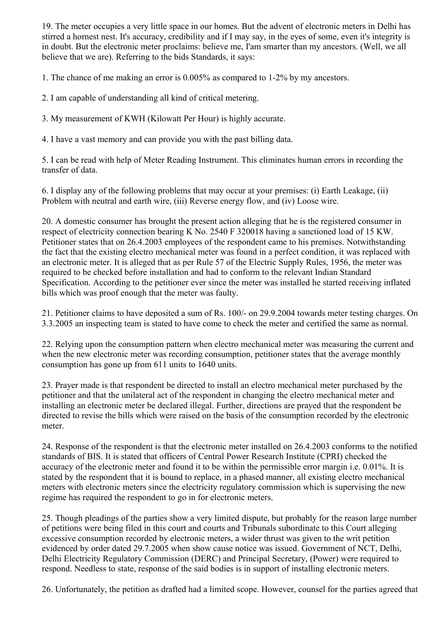19. The meter occupies a very little space in our homes. But the advent of electronic meters in Delhi has stirred a hornest nest. It's accuracy, credibility and if I may say, in the eyes of some, even it's integrity is in doubt. But the electronic meter proclaims: believe me, I'am smarter than my ancestors. (Well, we all believe that we are). Referring to the bids Standards, it says:

1. The chance of me making an error is 0.005% as compared to 1-2% by my ancestors.

2. I am capable of understanding all kind of critical metering.

3. My measurement of KWH (Kilowatt Per Hour) is highly accurate.

4. I have a vast memory and can provide you with the past billing data.

5. I can be read with help of Meter Reading Instrument. This eliminates human errors in recording the transfer of data.

6. I display any of the following problems that may occur at your premises: (i) Earth Leakage, (ii) Problem with neutral and earth wire, (iii) Reverse energy flow, and (iv) Loose wire.

20. A domestic consumer has brought the present action alleging that he is the registered consumer in respect of electricity connection bearing K No. 2540 F 320018 having a sanctioned load of 15 KW. Petitioner states that on 26.4.2003 employees of the respondent came to his premises. Notwithstanding the fact that the existing electro mechanical meter was found in a perfect condition, it was replaced with an electronic meter. It is alleged that as per Rule 57 of the Electric Supply Rules, 1956, the meter was required to be checked before installation and had to conform to the relevant Indian Standard Specification. According to the petitioner ever since the meter was installed he started receiving inflated bills which was proof enough that the meter was faulty.

21. Petitioner claims to have deposited a sum of Rs. 100/- on 29.9.2004 towards meter testing charges. On 3.3.2005 an inspecting team is stated to have come to check the meter and certified the same as normal.

22. Relying upon the consumption pattern when electro mechanical meter was measuring the current and when the new electronic meter was recording consumption, petitioner states that the average monthly consumption has gone up from 611 units to 1640 units.

23. Prayer made is that respondent be directed to install an electro mechanical meter purchased by the petitioner and that the unilateral act of the respondent in changing the electro mechanical meter and installing an electronic meter be declared illegal. Further, directions are prayed that the respondent be directed to revise the bills which were raised on the basis of the consumption recorded by the electronic meter.

24. Response of the respondent is that the electronic meter installed on 26.4.2003 conforms to the notified standards of BIS. It is stated that officers of Central Power Research Institute (CPRI) checked the accuracy of the electronic meter and found it to be within the permissible error margin i.e. 0.01%. It is stated by the respondent that it is bound to replace, in a phased manner, all existing electro mechanical meters with electronic meters since the electricity regulatory commission which is supervising the new regime has required the respondent to go in for electronic meters.

25. Though pleadings of the parties show a very limited dispute, but probably for the reason large number of petitions were being filed in this court and courts and Tribunals subordinate to this Court alleging excessive consumption recorded by electronic meters, a wider thrust was given to the writ petition evidenced by order dated 29.7.2005 when show cause notice was issued. Government of NCT, Delhi, Delhi Electricity Regulatory Commission (DERC) and Principal Secretary, (Power) were required to respond. Needless to state, response of the said bodies is in support of installing electronic meters.

26. Unfortunately, the petition as drafted had a limited scope. However, counsel for the parties agreed that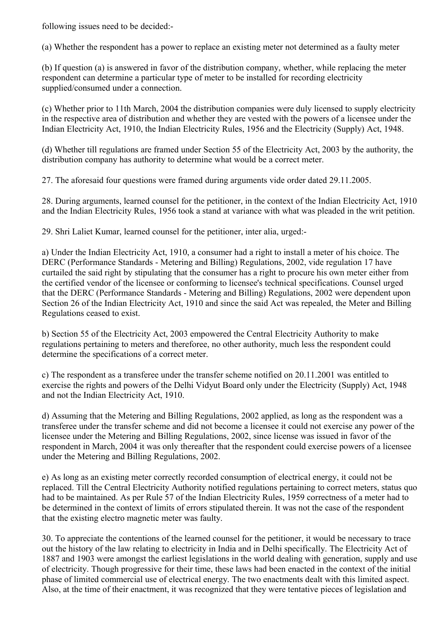following issues need to be decided:-

(a) Whether the respondent has a power to replace an existing meter not determined as a faulty meter

(b) If question (a) is answered in favor of the distribution company, whether, while replacing the meter respondent can determine a particular type of meter to be installed for recording electricity supplied/consumed under a connection.

(c) Whether prior to 11th March, 2004 the distribution companies were duly licensed to supply electricity in the respective area of distribution and whether they are vested with the powers of a licensee under the Indian Electricity Act, 1910, the Indian Electricity Rules, 1956 and the Electricity (Supply) Act, 1948.

(d) Whether till regulations are framed under Section 55 of the Electricity Act, 2003 by the authority, the distribution company has authority to determine what would be a correct meter.

27. The aforesaid four questions were framed during arguments vide order dated 29.11.2005.

28. During arguments, learned counsel for the petitioner, in the context of the Indian Electricity Act, 1910 and the Indian Electricity Rules, 1956 took a stand at variance with what was pleaded in the writ petition.

29. Shri Laliet Kumar, learned counsel for the petitioner, inter alia, urged:-

a) Under the Indian Electricity Act, 1910, a consumer had a right to install a meter of his choice. The DERC (Performance Standards - Metering and Billing) Regulations, 2002, vide regulation 17 have curtailed the said right by stipulating that the consumer has a right to procure his own meter either from the certified vendor of the licensee or conforming to licensee's technical specifications. Counsel urged that the DERC (Performance Standards - Metering and Billing) Regulations, 2002 were dependent upon Section 26 of the Indian Electricity Act, 1910 and since the said Act was repealed, the Meter and Billing Regulations ceased to exist.

b) Section 55 of the Electricity Act, 2003 empowered the Central Electricity Authority to make regulations pertaining to meters and thereforee, no other authority, much less the respondent could determine the specifications of a correct meter.

c) The respondent as a transferee under the transfer scheme notified on 20.11.2001 was entitled to exercise the rights and powers of the Delhi Vidyut Board only under the Electricity (Supply) Act, 1948 and not the Indian Electricity Act, 1910.

d) Assuming that the Metering and Billing Regulations, 2002 applied, as long as the respondent was a transferee under the transfer scheme and did not become a licensee it could not exercise any power of the licensee under the Metering and Billing Regulations, 2002, since license was issued in favor of the respondent in March, 2004 it was only thereafter that the respondent could exercise powers of a licensee under the Metering and Billing Regulations, 2002.

e) As long as an existing meter correctly recorded consumption of electrical energy, it could not be replaced. Till the Central Electricity Authority notified regulations pertaining to correct meters, status quo had to be maintained. As per Rule 57 of the Indian Electricity Rules, 1959 correctness of a meter had to be determined in the context of limits of errors stipulated therein. It was not the case of the respondent that the existing electro magnetic meter was faulty.

30. To appreciate the contentions of the learned counsel for the petitioner, it would be necessary to trace out the history of the law relating to electricity in India and in Delhi specifically. The Electricity Act of 1887 and 1903 were amongst the earliest legislations in the world dealing with generation, supply and use of electricity. Though progressive for their time, these laws had been enacted in the context of the initial phase of limited commercial use of electrical energy. The two enactments dealt with this limited aspect. Also, at the time of their enactment, it was recognized that they were tentative pieces of legislation and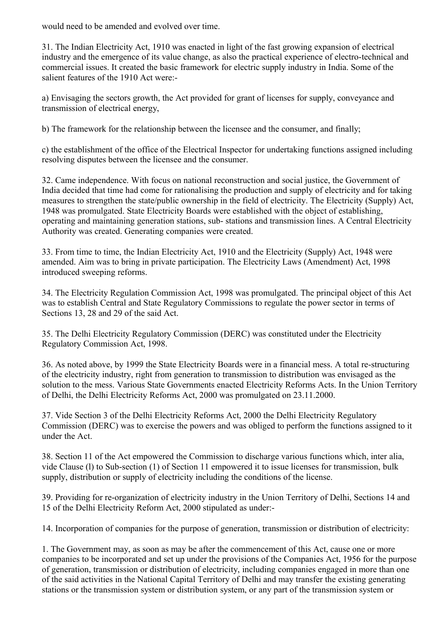would need to be amended and evolved over time.

31. The Indian Electricity Act, 1910 was enacted in light of the fast growing expansion of electrical industry and the emergence of its value change, as also the practical experience of electro-technical and commercial issues. It created the basic framework for electric supply industry in India. Some of the salient features of the 1910 Act were:-

a) Envisaging the sectors growth, the Act provided for grant of licenses for supply, conveyance and transmission of electrical energy,

b) The framework for the relationship between the licensee and the consumer, and finally;

c) the establishment of the office of the Electrical Inspector for undertaking functions assigned including resolving disputes between the licensee and the consumer.

32. Came independence. With focus on national reconstruction and social justice, the Government of India decided that time had come for rationalising the production and supply of electricity and for taking measures to strengthen the state/public ownership in the field of electricity. The Electricity (Supply) Act, 1948 was promulgated. State Electricity Boards were established with the object of establishing, operating and maintaining generation stations, sub- stations and transmission lines. A Central Electricity Authority was created. Generating companies were created.

33. From time to time, the Indian Electricity Act, 1910 and the Electricity (Supply) Act, 1948 were amended. Aim was to bring in private participation. The Electricity Laws (Amendment) Act, 1998 introduced sweeping reforms.

34. The Electricity Regulation Commission Act, 1998 was promulgated. The principal object of this Act was to establish Central and State Regulatory Commissions to regulate the power sector in terms of Sections 13, 28 and 29 of the said Act.

35. The Delhi Electricity Regulatory Commission (DERC) was constituted under the Electricity Regulatory Commission Act, 1998.

36. As noted above, by 1999 the State Electricity Boards were in a financial mess. A total re-structuring of the electricity industry, right from generation to transmission to distribution was envisaged as the solution to the mess. Various State Governments enacted Electricity Reforms Acts. In the Union Territory of Delhi, the Delhi Electricity Reforms Act, 2000 was promulgated on 23.11.2000.

37. Vide Section 3 of the Delhi Electricity Reforms Act, 2000 the Delhi Electricity Regulatory Commission (DERC) was to exercise the powers and was obliged to perform the functions assigned to it under the Act.

38. Section 11 of the Act empowered the Commission to discharge various functions which, inter alia, vide Clause (l) to Sub-section (1) of Section 11 empowered it to issue licenses for transmission, bulk supply, distribution or supply of electricity including the conditions of the license.

39. Providing for re-organization of electricity industry in the Union Territory of Delhi, Sections 14 and 15 of the Delhi Electricity Reform Act, 2000 stipulated as under:-

14. Incorporation of companies for the purpose of generation, transmission or distribution of electricity:

1. The Government may, as soon as may be after the commencement of this Act, cause one or more companies to be incorporated and set up under the provisions of the Companies Act, 1956 for the purpose of generation, transmission or distribution of electricity, including companies engaged in more than one of the said activities in the National Capital Territory of Delhi and may transfer the existing generating stations or the transmission system or distribution system, or any part of the transmission system or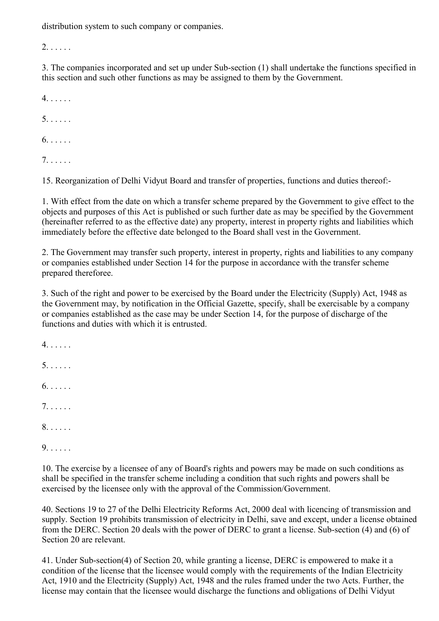distribution system to such company or companies.

2. . . . . .

3. The companies incorporated and set up under Sub-section (1) shall undertake the functions specified in this section and such other functions as may be assigned to them by the Government.

4. . . . . .

5. . . . . .

6. . . . . .

7. . . . . .

15. Reorganization of Delhi Vidyut Board and transfer of properties, functions and duties thereof:-

1. With effect from the date on which a transfer scheme prepared by the Government to give effect to the objects and purposes of this Act is published or such further date as may be specified by the Government (hereinafter referred to as the effective date) any property, interest in property rights and liabilities which immediately before the effective date belonged to the Board shall vest in the Government.

2. The Government may transfer such property, interest in property, rights and liabilities to any company or companies established under Section 14 for the purpose in accordance with the transfer scheme prepared thereforee.

3. Such of the right and power to be exercised by the Board under the Electricity (Supply) Act, 1948 as the Government may, by notification in the Official Gazette, specify, shall be exercisable by a company or companies established as the case may be under Section 14, for the purpose of discharge of the functions and duties with which it is entrusted.

4. . . . . .

5. . . . . .

6. . . . . .

7. . . . . .

8. . . . . .

9. . . . . .

10. The exercise by a licensee of any of Board's rights and powers may be made on such conditions as shall be specified in the transfer scheme including a condition that such rights and powers shall be exercised by the licensee only with the approval of the Commission/Government.

40. Sections 19 to 27 of the Delhi Electricity Reforms Act, 2000 deal with licencing of transmission and supply. Section 19 prohibits transmission of electricity in Delhi, save and except, under a license obtained from the DERC. Section 20 deals with the power of DERC to grant a license. Sub-section (4) and (6) of Section 20 are relevant.

41. Under Sub-section(4) of Section 20, while granting a license, DERC is empowered to make it a condition of the license that the licensee would comply with the requirements of the Indian Electricity Act, 1910 and the Electricity (Supply) Act, 1948 and the rules framed under the two Acts. Further, the license may contain that the licensee would discharge the functions and obligations of Delhi Vidyut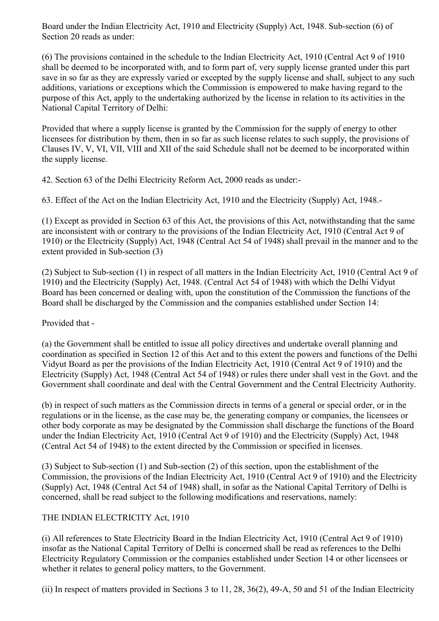Board under the Indian Electricity Act, 1910 and Electricity (Supply) Act, 1948. Sub-section (6) of Section 20 reads as under:

(6) The provisions contained in the schedule to the Indian Electricity Act, 1910 (Central Act 9 of 1910 shall be deemed to be incorporated with, and to form part of, very supply license granted under this part save in so far as they are expressly varied or excepted by the supply license and shall, subject to any such additions, variations or exceptions which the Commission is empowered to make having regard to the purpose of this Act, apply to the undertaking authorized by the license in relation to its activities in the National Capital Territory of Delhi:

Provided that where a supply license is granted by the Commission for the supply of energy to other licensees for distribution by them, then in so far as such license relates to such supply, the provisions of Clauses IV, V, VI, VII, VIII and XII of the said Schedule shall not be deemed to be incorporated within the supply license.

42. Section 63 of the Delhi Electricity Reform Act, 2000 reads as under:-

63. Effect of the Act on the Indian Electricity Act, 1910 and the Electricity (Supply) Act, 1948.-

(1) Except as provided in Section 63 of this Act, the provisions of this Act, notwithstanding that the same are inconsistent with or contrary to the provisions of the Indian Electricity Act, 1910 (Central Act 9 of 1910) or the Electricity (Supply) Act, 1948 (Central Act 54 of 1948) shall prevail in the manner and to the extent provided in Sub-section (3)

(2) Subject to Sub-section (1) in respect of all matters in the Indian Electricity Act, 1910 (Central Act 9 of 1910) and the Electricity (Supply) Act, 1948. (Central Act 54 of 1948) with which the Delhi Vidyut Board has been concerned or dealing with, upon the constitution of the Commission the functions of the Board shall be discharged by the Commission and the companies established under Section 14:

Provided that -

(a) the Government shall be entitled to issue all policy directives and undertake overall planning and coordination as specified in Section 12 of this Act and to this extent the powers and functions of the Delhi Vidyut Board as per the provisions of the Indian Electricity Act, 1910 (Central Act 9 of 1910) and the Electricity (Supply) Act, 1948 (Central Act 54 of 1948) or rules there under shall vest in the Govt. and the Government shall coordinate and deal with the Central Government and the Central Electricity Authority.

(b) in respect of such matters as the Commission directs in terms of a general or special order, or in the regulations or in the license, as the case may be, the generating company or companies, the licensees or other body corporate as may be designated by the Commission shall discharge the functions of the Board under the Indian Electricity Act, 1910 (Central Act 9 of 1910) and the Electricity (Supply) Act, 1948 (Central Act 54 of 1948) to the extent directed by the Commission or specified in licenses.

(3) Subject to Sub-section (1) and Sub-section (2) of this section, upon the establishment of the Commission, the provisions of the Indian Electricity Act, 1910 (Central Act 9 of 1910) and the Electricity (Supply) Act, 1948 (Central Act 54 of 1948) shall, in sofar as the National Capital Territory of Delhi is concerned, shall be read subject to the following modifications and reservations, namely:

# THE INDIAN ELECTRICITY Act, 1910

(i) All references to State Electricity Board in the Indian Electricity Act, 1910 (Central Act 9 of 1910) insofar as the National Capital Territory of Delhi is concerned shall be read as references to the Delhi Electricity Regulatory Commission or the companies established under Section 14 or other licensees or whether it relates to general policy matters, to the Government.

(ii) In respect of matters provided in Sections 3 to 11, 28, 36(2), 49-A, 50 and 51 of the Indian Electricity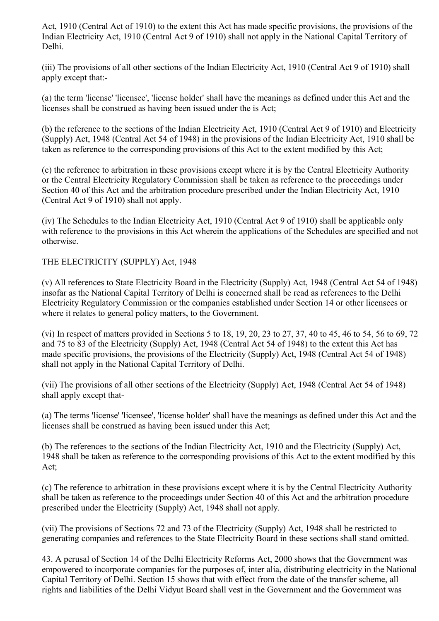Act, 1910 (Central Act of 1910) to the extent this Act has made specific provisions, the provisions of the Indian Electricity Act, 1910 (Central Act 9 of 1910) shall not apply in the National Capital Territory of Delhi.

(iii) The provisions of all other sections of the Indian Electricity Act, 1910 (Central Act 9 of 1910) shall apply except that:-

(a) the term 'license' 'licensee', 'license holder' shall have the meanings as defined under this Act and the licenses shall be construed as having been issued under the is Act;

(b) the reference to the sections of the Indian Electricity Act, 1910 (Central Act 9 of 1910) and Electricity (Supply) Act, 1948 (Central Act 54 of 1948) in the provisions of the Indian Electricity Act, 1910 shall be taken as reference to the corresponding provisions of this Act to the extent modified by this Act;

(c) the reference to arbitration in these provisions except where it is by the Central Electricity Authority or the Central Electricity Regulatory Commission shall be taken as reference to the proceedings under Section 40 of this Act and the arbitration procedure prescribed under the Indian Electricity Act, 1910 (Central Act 9 of 1910) shall not apply.

(iv) The Schedules to the Indian Electricity Act, 1910 (Central Act 9 of 1910) shall be applicable only with reference to the provisions in this Act wherein the applications of the Schedules are specified and not otherwise.

### THE ELECTRICITY (SUPPLY) Act, 1948

(v) All references to State Electricity Board in the Electricity (Supply) Act, 1948 (Central Act 54 of 1948) insofar as the National Capital Territory of Delhi is concerned shall be read as references to the Delhi Electricity Regulatory Commission or the companies established under Section 14 or other licensees or where it relates to general policy matters, to the Government.

(vi) In respect of matters provided in Sections 5 to 18, 19, 20, 23 to 27, 37, 40 to 45, 46 to 54, 56 to 69, 72 and 75 to 83 of the Electricity (Supply) Act, 1948 (Central Act 54 of 1948) to the extent this Act has made specific provisions, the provisions of the Electricity (Supply) Act, 1948 (Central Act 54 of 1948) shall not apply in the National Capital Territory of Delhi.

(vii) The provisions of all other sections of the Electricity (Supply) Act, 1948 (Central Act 54 of 1948) shall apply except that-

(a) The terms 'license' 'licensee', 'license holder' shall have the meanings as defined under this Act and the licenses shall be construed as having been issued under this Act;

(b) The references to the sections of the Indian Electricity Act, 1910 and the Electricity (Supply) Act, 1948 shall be taken as reference to the corresponding provisions of this Act to the extent modified by this Act;

(c) The reference to arbitration in these provisions except where it is by the Central Electricity Authority shall be taken as reference to the proceedings under Section 40 of this Act and the arbitration procedure prescribed under the Electricity (Supply) Act, 1948 shall not apply.

(vii) The provisions of Sections 72 and 73 of the Electricity (Supply) Act, 1948 shall be restricted to generating companies and references to the State Electricity Board in these sections shall stand omitted.

43. A perusal of Section 14 of the Delhi Electricity Reforms Act, 2000 shows that the Government was empowered to incorporate companies for the purposes of, inter alia, distributing electricity in the National Capital Territory of Delhi. Section 15 shows that with effect from the date of the transfer scheme, all rights and liabilities of the Delhi Vidyut Board shall vest in the Government and the Government was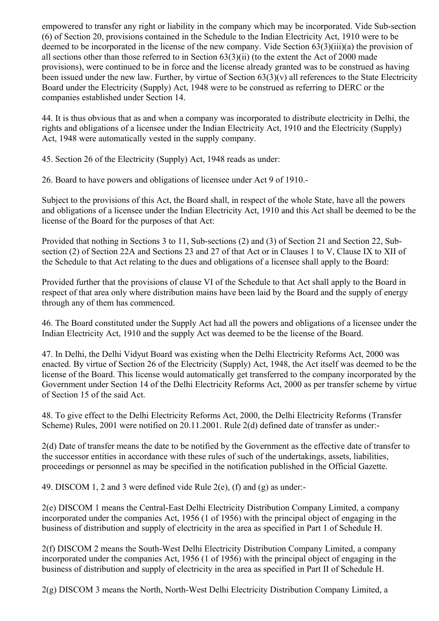empowered to transfer any right or liability in the company which may be incorporated. Vide Sub-section (6) of Section 20, provisions contained in the Schedule to the Indian Electricity Act, 1910 were to be deemed to be incorporated in the license of the new company. Vide Section 63(3)(iii)(a) the provision of all sections other than those referred to in Section 63(3)(ii) (to the extent the Act of 2000 made provisions), were continued to be in force and the license already granted was to be construed as having been issued under the new law. Further, by virtue of Section 63(3)(v) all references to the State Electricity Board under the Electricity (Supply) Act, 1948 were to be construed as referring to DERC or the companies established under Section 14.

44. It is thus obvious that as and when a company was incorporated to distribute electricity in Delhi, the rights and obligations of a licensee under the Indian Electricity Act, 1910 and the Electricity (Supply) Act, 1948 were automatically vested in the supply company.

45. Section 26 of the Electricity (Supply) Act, 1948 reads as under:

26. Board to have powers and obligations of licensee under Act 9 of 1910.-

Subject to the provisions of this Act, the Board shall, in respect of the whole State, have all the powers and obligations of a licensee under the Indian Electricity Act, 1910 and this Act shall be deemed to be the license of the Board for the purposes of that Act:

Provided that nothing in Sections 3 to 11, Sub-sections (2) and (3) of Section 21 and Section 22, Subsection (2) of Section 22A and Sections 23 and 27 of that Act or in Clauses 1 to V, Clause IX to XII of the Schedule to that Act relating to the dues and obligations of a licensee shall apply to the Board:

Provided further that the provisions of clause VI of the Schedule to that Act shall apply to the Board in respect of that area only where distribution mains have been laid by the Board and the supply of energy through any of them has commenced.

46. The Board constituted under the Supply Act had all the powers and obligations of a licensee under the Indian Electricity Act, 1910 and the supply Act was deemed to be the license of the Board.

47. In Delhi, the Delhi Vidyut Board was existing when the Delhi Electricity Reforms Act, 2000 was enacted. By virtue of Section 26 of the Electricity (Supply) Act, 1948, the Act itself was deemed to be the license of the Board. This license would automatically get transferred to the company incorporated by the Government under Section 14 of the Delhi Electricity Reforms Act, 2000 as per transfer scheme by virtue of Section 15 of the said Act.

48. To give effect to the Delhi Electricity Reforms Act, 2000, the Delhi Electricity Reforms (Transfer Scheme) Rules, 2001 were notified on 20.11.2001. Rule 2(d) defined date of transfer as under:-

2(d) Date of transfer means the date to be notified by the Government as the effective date of transfer to the successor entities in accordance with these rules of such of the undertakings, assets, liabilities, proceedings or personnel as may be specified in the notification published in the Official Gazette.

49. DISCOM 1, 2 and 3 were defined vide Rule 2(e), (f) and (g) as under:-

2(e) DISCOM 1 means the Central-East Delhi Electricity Distribution Company Limited, a company incorporated under the companies Act, 1956 (1 of 1956) with the principal object of engaging in the business of distribution and supply of electricity in the area as specified in Part 1 of Schedule H.

2(f) DISCOM 2 means the South-West Delhi Electricity Distribution Company Limited, a company incorporated under the companies Act, 1956 (1 of 1956) with the principal object of engaging in the business of distribution and supply of electricity in the area as specified in Part II of Schedule H.

2(g) DISCOM 3 means the North, North-West Delhi Electricity Distribution Company Limited, a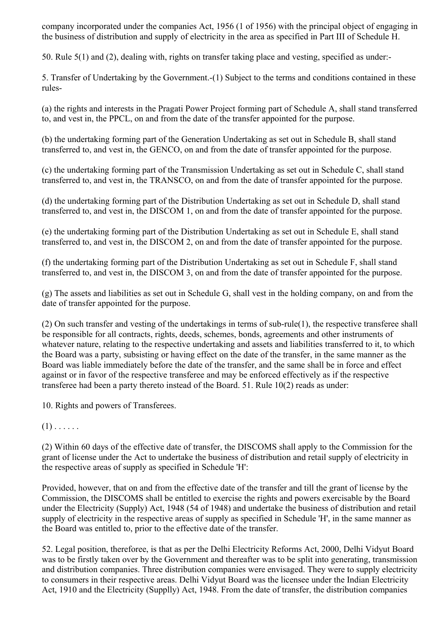company incorporated under the companies Act, 1956 (1 of 1956) with the principal object of engaging in the business of distribution and supply of electricity in the area as specified in Part III of Schedule H.

50. Rule 5(1) and (2), dealing with, rights on transfer taking place and vesting, specified as under:-

5. Transfer of Undertaking by the Government.-(1) Subject to the terms and conditions contained in these rules-

(a) the rights and interests in the Pragati Power Project forming part of Schedule A, shall stand transferred to, and vest in, the PPCL, on and from the date of the transfer appointed for the purpose.

(b) the undertaking forming part of the Generation Undertaking as set out in Schedule B, shall stand transferred to, and vest in, the GENCO, on and from the date of transfer appointed for the purpose.

(c) the undertaking forming part of the Transmission Undertaking as set out in Schedule C, shall stand transferred to, and vest in, the TRANSCO, on and from the date of transfer appointed for the purpose.

(d) the undertaking forming part of the Distribution Undertaking as set out in Schedule D, shall stand transferred to, and vest in, the DISCOM 1, on and from the date of transfer appointed for the purpose.

(e) the undertaking forming part of the Distribution Undertaking as set out in Schedule E, shall stand transferred to, and vest in, the DISCOM 2, on and from the date of transfer appointed for the purpose.

(f) the undertaking forming part of the Distribution Undertaking as set out in Schedule F, shall stand transferred to, and vest in, the DISCOM 3, on and from the date of transfer appointed for the purpose.

(g) The assets and liabilities as set out in Schedule G, shall vest in the holding company, on and from the date of transfer appointed for the purpose.

(2) On such transfer and vesting of the undertakings in terms of sub-rule(1), the respective transferee shall be responsible for all contracts, rights, deeds, schemes, bonds, agreements and other instruments of whatever nature, relating to the respective undertaking and assets and liabilities transferred to it, to which the Board was a party, subsisting or having effect on the date of the transfer, in the same manner as the Board was liable immediately before the date of the transfer, and the same shall be in force and effect against or in favor of the respective transferee and may be enforced effectively as if the respective transferee had been a party thereto instead of the Board. 51. Rule 10(2) reads as under:

10. Rights and powers of Transferees.

 $(1)$ .....

(2) Within 60 days of the effective date of transfer, the DISCOMS shall apply to the Commission for the grant of license under the Act to undertake the business of distribution and retail supply of electricity in the respective areas of supply as specified in Schedule 'H':

Provided, however, that on and from the effective date of the transfer and till the grant of license by the Commission, the DISCOMS shall be entitled to exercise the rights and powers exercisable by the Board under the Electricity (Supply) Act, 1948 (54 of 1948) and undertake the business of distribution and retail supply of electricity in the respective areas of supply as specified in Schedule 'H', in the same manner as the Board was entitled to, prior to the effective date of the transfer.

52. Legal position, thereforee, is that as per the Delhi Electricity Reforms Act, 2000, Delhi Vidyut Board was to be firstly taken over by the Government and thereafter was to be split into generating, transmission and distribution companies. Three distribution companies were envisaged. They were to supply electricity to consumers in their respective areas. Delhi Vidyut Board was the licensee under the Indian Electricity Act, 1910 and the Electricity (Supplly) Act, 1948. From the date of transfer, the distribution companies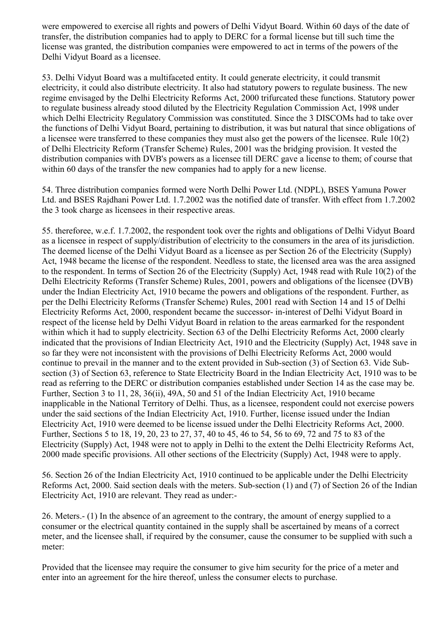were empowered to exercise all rights and powers of Delhi Vidyut Board. Within 60 days of the date of transfer, the distribution companies had to apply to DERC for a formal license but till such time the license was granted, the distribution companies were empowered to act in terms of the powers of the Delhi Vidyut Board as a licensee.

53. Delhi Vidyut Board was a multifaceted entity. It could generate electricity, it could transmit electricity, it could also distribute electricity. It also had statutory powers to regulate business. The new regime envisaged by the Delhi Electricity Reforms Act, 2000 trifurcated these functions. Statutory power to regulate business already stood diluted by the Electricity Regulation Commission Act, 1998 under which Delhi Electricity Regulatory Commission was constituted. Since the 3 DISCOMs had to take over the functions of Delhi Vidyut Board, pertaining to distribution, it was but natural that since obligations of a licensee were transferred to these companies they must also get the powers of the licensee. Rule 10(2) of Delhi Electricity Reform (Transfer Scheme) Rules, 2001 was the bridging provision. It vested the distribution companies with DVB's powers as a licensee till DERC gave a license to them; of course that within 60 days of the transfer the new companies had to apply for a new license.

54. Three distribution companies formed were North Delhi Power Ltd. (NDPL), BSES Yamuna Power Ltd. and BSES Rajdhani Power Ltd. 1.7.2002 was the notified date of transfer. With effect from 1.7.2002 the 3 took charge as licensees in their respective areas.

55. thereforee, w.e.f. 1.7.2002, the respondent took over the rights and obligations of Delhi Vidyut Board as a licensee in respect of supply/distribution of electricity to the consumers in the area of its jurisdiction. The deemed license of the Delhi Vidyut Board as a licensee as per Section 26 of the Electricity (Supply) Act, 1948 became the license of the respondent. Needless to state, the licensed area was the area assigned to the respondent. In terms of Section 26 of the Electricity (Supply) Act, 1948 read with Rule 10(2) of the Delhi Electricity Reforms (Transfer Scheme) Rules, 2001, powers and obligations of the licensee (DVB) under the Indian Electricity Act, 1910 became the powers and obligations of the respondent. Further, as per the Delhi Electricity Reforms (Transfer Scheme) Rules, 2001 read with Section 14 and 15 of Delhi Electricity Reforms Act, 2000, respondent became the successor- in-interest of Delhi Vidyut Board in respect of the license held by Delhi Vidyut Board in relation to the areas earmarked for the respondent within which it had to supply electricity. Section 63 of the Delhi Electricity Reforms Act, 2000 clearly indicated that the provisions of Indian Electricity Act, 1910 and the Electricity (Supply) Act, 1948 save in so far they were not inconsistent with the provisions of Delhi Electricity Reforms Act, 2000 would continue to prevail in the manner and to the extent provided in Sub-section (3) of Section 63. Vide Subsection (3) of Section 63, reference to State Electricity Board in the Indian Electricity Act, 1910 was to be read as referring to the DERC or distribution companies established under Section 14 as the case may be. Further, Section 3 to 11, 28, 36(ii), 49A, 50 and 51 of the Indian Electricity Act, 1910 became inapplicable in the National Territory of Delhi. Thus, as a licensee, respondent could not exercise powers under the said sections of the Indian Electricity Act, 1910. Further, license issued under the Indian Electricity Act, 1910 were deemed to be license issued under the Delhi Electricity Reforms Act, 2000. Further, Sections 5 to 18, 19, 20, 23 to 27, 37, 40 to 45, 46 to 54, 56 to 69, 72 and 75 to 83 of the Electricity (Supply) Act, 1948 were not to apply in Delhi to the extent the Delhi Electricity Reforms Act, 2000 made specific provisions. All other sections of the Electricity (Supply) Act, 1948 were to apply.

56. Section 26 of the Indian Electricity Act, 1910 continued to be applicable under the Delhi Electricity Reforms Act, 2000. Said section deals with the meters. Sub-section (1) and (7) of Section 26 of the Indian Electricity Act, 1910 are relevant. They read as under:-

26. Meters.- (1) In the absence of an agreement to the contrary, the amount of energy supplied to a consumer or the electrical quantity contained in the supply shall be ascertained by means of a correct meter, and the licensee shall, if required by the consumer, cause the consumer to be supplied with such a meter:

Provided that the licensee may require the consumer to give him security for the price of a meter and enter into an agreement for the hire thereof, unless the consumer elects to purchase.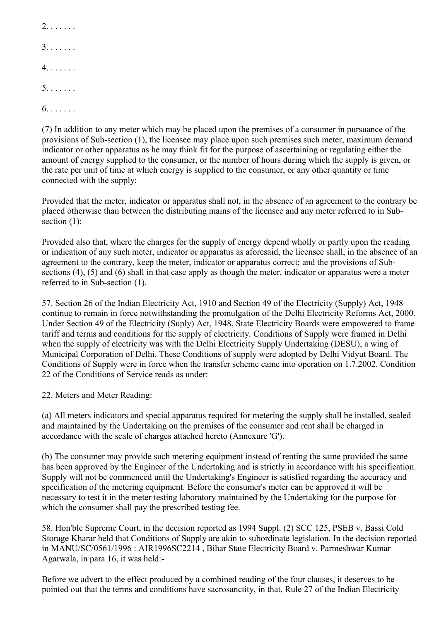2. . . . . . . 3. . . . . . . 4. . . . . . . 5. . . . . . . 6. . . . . . .

(7) In addition to any meter which may be placed upon the premises of a consumer in pursuance of the provisions of Sub-section (1), the licensee may place upon such premises such meter, maximum demand indicator or other apparatus as he may think fit for the purpose of ascertaining or regulating either the amount of energy supplied to the consumer, or the number of hours during which the supply is given, or the rate per unit of time at which energy is supplied to the consumer, or any other quantity or time connected with the supply:

Provided that the meter, indicator or apparatus shall not, in the absence of an agreement to the contrary be placed otherwise than between the distributing mains of the licensee and any meter referred to in Subsection  $(1)$ :

Provided also that, where the charges for the supply of energy depend wholly or partly upon the reading or indication of any such meter, indicator or apparatus as aforesaid, the licensee shall, in the absence of an agreement to the contrary, keep the meter, indicator or apparatus correct; and the provisions of Subsections (4), (5) and (6) shall in that case apply as though the meter, indicator or apparatus were a meter referred to in Sub-section (1).

57. Section 26 of the Indian Electricity Act, 1910 and Section 49 of the Electricity (Supply) Act, 1948 continue to remain in force notwithstanding the promulgation of the Delhi Electricity Reforms Act, 2000. Under Section 49 of the Electricity (Suply) Act, 1948, State Electricity Boards were empowered to frame tariff and terms and conditions for the supply of electricity. Conditions of Supply were framed in Delhi when the supply of electricity was with the Delhi Electricity Supply Undertaking (DESU), a wing of Municipal Corporation of Delhi. These Conditions of supply were adopted by Delhi Vidyut Board. The Conditions of Supply were in force when the transfer scheme came into operation on 1.7.2002. Condition 22 of the Conditions of Service reads as under:

22. Meters and Meter Reading:

(a) All meters indicators and special apparatus required for metering the supply shall be installed, sealed and maintained by the Undertaking on the premises of the consumer and rent shall be charged in accordance with the scale of charges attached hereto (Annexure 'G').

(b) The consumer may provide such metering equipment instead of renting the same provided the same has been approved by the Engineer of the Undertaking and is strictly in accordance with his specification. Supply will not be commenced until the Undertaking's Engineer is satisfied regarding the accuracy and specification of the metering equipment. Before the consumer's meter can be approved it will be necessary to test it in the meter testing laboratory maintained by the Undertaking for the purpose for which the consumer shall pay the prescribed testing fee.

58. Hon'ble Supreme Court, in the decision reported as 1994 Suppl. (2) SCC 125, PSEB v. Bassi Cold Storage Kharar held that Conditions of Supply are akin to subordinate legislation. In the decision reported in MANU/SC/0561/1996 : AIR1996SC2214 , Bihar State Electricity Board v. Parmeshwar Kumar Agarwala, in para 16, it was held:-

Before we advert to the effect produced by a combined reading of the four clauses, it deserves to be pointed out that the terms and conditions have sacrosanctity, in that, Rule 27 of the Indian Electricity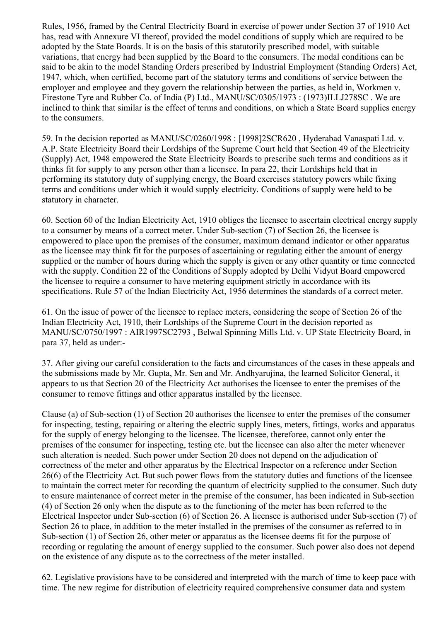Rules, 1956, framed by the Central Electricity Board in exercise of power under Section 37 of 1910 Act has, read with Annexure VI thereof, provided the model conditions of supply which are required to be adopted by the State Boards. It is on the basis of this statutorily prescribed model, with suitable variations, that energy had been supplied by the Board to the consumers. The modal conditions can be said to be akin to the model Standing Orders prescribed by Industrial Employment (Standing Orders) Act, 1947, which, when certified, become part of the statutory terms and conditions of service between the employer and employee and they govern the relationship between the parties, as held in, Workmen v. Firestone Tyre and Rubber Co. of India (P) Ltd., MANU/SC/0305/1973 : (1973)ILLJ278SC . We are inclined to think that similar is the effect of terms and conditions, on which a State Board supplies energy to the consumers.

59. In the decision reported as MANU/SC/0260/1998 : [1998]2SCR620 , Hyderabad Vanaspati Ltd. v. A.P. State Electricity Board their Lordships of the Supreme Court held that Section 49 of the Electricity (Supply) Act, 1948 empowered the State Electricity Boards to prescribe such terms and conditions as it thinks fit for supply to any person other than a licensee. In para 22, their Lordships held that in performing its statutory duty of supplying energy, the Board exercises statutory powers while fixing terms and conditions under which it would supply electricity. Conditions of supply were held to be statutory in character.

60. Section 60 of the Indian Electricity Act, 1910 obliges the licensee to ascertain electrical energy supply to a consumer by means of a correct meter. Under Sub-section (7) of Section 26, the licensee is empowered to place upon the premises of the consumer, maximum demand indicator or other apparatus as the licensee may think fit for the purposes of ascertaining or regulating either the amount of energy supplied or the number of hours during which the supply is given or any other quantity or time connected with the supply. Condition 22 of the Conditions of Supply adopted by Delhi Vidyut Board empowered the licensee to require a consumer to have metering equipment strictly in accordance with its specifications. Rule 57 of the Indian Electricity Act, 1956 determines the standards of a correct meter.

61. On the issue of power of the licensee to replace meters, considering the scope of Section 26 of the Indian Electricity Act, 1910, their Lordships of the Supreme Court in the decision reported as MANU/SC/0750/1997 : AIR1997SC2793 , Belwal Spinning Mills Ltd. v. UP State Electricity Board, in para 37, held as under:-

37. After giving our careful consideration to the facts and circumstances of the cases in these appeals and the submissions made by Mr. Gupta, Mr. Sen and Mr. Andhyarujina, the learned Solicitor General, it appears to us that Section 20 of the Electricity Act authorises the licensee to enter the premises of the consumer to remove fittings and other apparatus installed by the licensee.

Clause (a) of Sub-section (1) of Section 20 authorises the licensee to enter the premises of the consumer for inspecting, testing, repairing or altering the electric supply lines, meters, fittings, works and apparatus for the supply of energy belonging to the licensee. The licensee, thereforee, cannot only enter the premises of the consumer for inspecting, testing etc. but the licensee can also alter the meter whenever such alteration is needed. Such power under Section 20 does not depend on the adjudication of correctness of the meter and other apparatus by the Electrical Inspector on a reference under Section 26(6) of the Electricity Act. But such power flows from the statutory duties and functions of the licensee to maintain the correct meter for recording the quantum of electricity supplied to the consumer. Such duty to ensure maintenance of correct meter in the premise of the consumer, has been indicated in Sub-section (4) of Section 26 only when the dispute as to the functioning of the meter has been referred to the Electrical Inspector under Sub-section (6) of Section 26. A licensee is authorised under Sub-section (7) of Section 26 to place, in addition to the meter installed in the premises of the consumer as referred to in Sub-section (1) of Section 26, other meter or apparatus as the licensee deems fit for the purpose of recording or regulating the amount of energy supplied to the consumer. Such power also does not depend on the existence of any dispute as to the correctness of the meter installed.

62. Legislative provisions have to be considered and interpreted with the march of time to keep pace with time. The new regime for distribution of electricity required comprehensive consumer data and system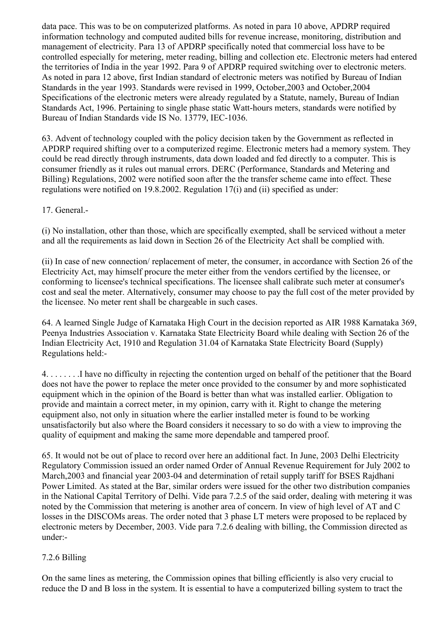data pace. This was to be on computerized platforms. As noted in para 10 above, APDRP required information technology and computed audited bills for revenue increase, monitoring, distribution and management of electricity. Para 13 of APDRP specifically noted that commercial loss have to be controlled especially for metering, meter reading, billing and collection etc. Electronic meters had entered the territories of India in the year 1992. Para 9 of APDRP required switching over to electronic meters. As noted in para 12 above, first Indian standard of electronic meters was notified by Bureau of Indian Standards in the year 1993. Standards were revised in 1999, October,2003 and October,2004 Specifications of the electronic meters were already regulated by a Statute, namely, Bureau of Indian Standards Act, 1996. Pertaining to single phase static Watt-hours meters, standards were notified by Bureau of Indian Standards vide IS No. 13779, IEC-1036.

63. Advent of technology coupled with the policy decision taken by the Government as reflected in APDRP required shifting over to a computerized regime. Electronic meters had a memory system. They could be read directly through instruments, data down loaded and fed directly to a computer. This is consumer friendly as it rules out manual errors. DERC (Performance, Standards and Metering and Billing) Regulations, 2002 were notified soon after the the transfer scheme came into effect. These regulations were notified on 19.8.2002. Regulation 17(i) and (ii) specified as under:

17. General.-

(i) No installation, other than those, which are specifically exempted, shall be serviced without a meter and all the requirements as laid down in Section 26 of the Electricity Act shall be complied with.

(ii) In case of new connection/ replacement of meter, the consumer, in accordance with Section 26 of the Electricity Act, may himself procure the meter either from the vendors certified by the licensee, or conforming to licensee's technical specifications. The licensee shall calibrate such meter at consumer's cost and seal the meter. Alternatively, consumer may choose to pay the full cost of the meter provided by the licensee. No meter rent shall be chargeable in such cases.

64. A learned Single Judge of Karnataka High Court in the decision reported as AIR 1988 Karnataka 369, Peenya Industries Association v. Karnataka State Electricity Board while dealing with Section 26 of the Indian Electricity Act, 1910 and Regulation 31.04 of Karnataka State Electricity Board (Supply) Regulations held:-

4. . . . . . . .I have no difficulty in rejecting the contention urged on behalf of the petitioner that the Board does not have the power to replace the meter once provided to the consumer by and more sophisticated equipment which in the opinion of the Board is better than what was installed earlier. Obligation to provide and maintain a correct meter, in my opinion, carry with it. Right to change the metering equipment also, not only in situation where the earlier installed meter is found to be working unsatisfactorily but also where the Board considers it necessary to so do with a view to improving the quality of equipment and making the same more dependable and tampered proof.

65. It would not be out of place to record over here an additional fact. In June, 2003 Delhi Electricity Regulatory Commission issued an order named Order of Annual Revenue Requirement for July 2002 to March,2003 and financial year 2003-04 and determination of retail supply tariff for BSES Rajdhani Power Limited. As stated at the Bar, similar orders were issued for the other two distribution companies in the National Capital Territory of Delhi. Vide para 7.2.5 of the said order, dealing with metering it was noted by the Commission that metering is another area of concern. In view of high level of AT and C losses in the DISCOMs areas. The order noted that 3 phase LT meters were proposed to be replaced by electronic meters by December, 2003. Vide para 7.2.6 dealing with billing, the Commission directed as under:-

# 7.2.6 Billing

On the same lines as metering, the Commission opines that billing efficiently is also very crucial to reduce the D and B loss in the system. It is essential to have a computerized billing system to tract the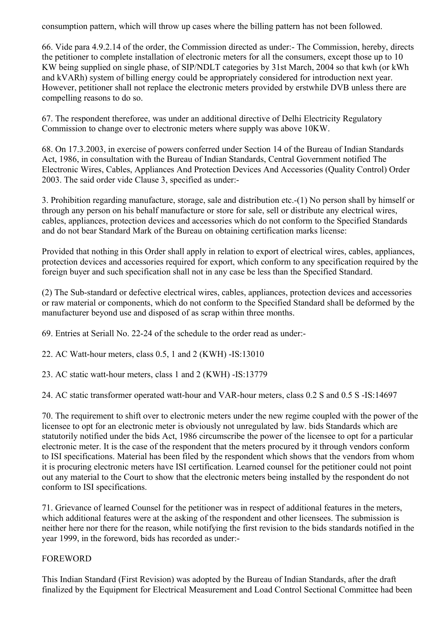consumption pattern, which will throw up cases where the billing pattern has not been followed.

66. Vide para 4.9.2.14 of the order, the Commission directed as under:- The Commission, hereby, directs the petitioner to complete installation of electronic meters for all the consumers, except those up to 10 KW being supplied on single phase, of SIP/NDLT categories by 31st March, 2004 so that kwh (or kWh and kVARh) system of billing energy could be appropriately considered for introduction next year. However, petitioner shall not replace the electronic meters provided by erstwhile DVB unless there are compelling reasons to do so.

67. The respondent thereforee, was under an additional directive of Delhi Electricity Regulatory Commission to change over to electronic meters where supply was above 10KW.

68. On 17.3.2003, in exercise of powers conferred under Section 14 of the Bureau of Indian Standards Act, 1986, in consultation with the Bureau of Indian Standards, Central Government notified The Electronic Wires, Cables, Appliances And Protection Devices And Accessories (Quality Control) Order 2003. The said order vide Clause 3, specified as under:-

3. Prohibition regarding manufacture, storage, sale and distribution etc.-(1) No person shall by himself or through any person on his behalf manufacture or store for sale, sell or distribute any electrical wires, cables, appliances, protection devices and accessories which do not conform to the Specified Standards and do not bear Standard Mark of the Bureau on obtaining certification marks license:

Provided that nothing in this Order shall apply in relation to export of electrical wires, cables, appliances, protection devices and accessories required for export, which conform to any specification required by the foreign buyer and such specification shall not in any case be less than the Specified Standard.

(2) The Sub-standard or defective electrical wires, cables, appliances, protection devices and accessories or raw material or components, which do not conform to the Specified Standard shall be deformed by the manufacturer beyond use and disposed of as scrap within three months.

69. Entries at Seriall No. 22-24 of the schedule to the order read as under:-

22. AC Watt-hour meters, class 0.5, 1 and 2 (KWH) -IS:13010

23. AC static watt-hour meters, class 1 and 2 (KWH) -IS:13779

24. AC static transformer operated watt-hour and VAR-hour meters, class 0.2 S and 0.5 S -IS:14697

70. The requirement to shift over to electronic meters under the new regime coupled with the power of the licensee to opt for an electronic meter is obviously not unregulated by law. bids Standards which are statutorily notified under the bids Act, 1986 circumscribe the power of the licensee to opt for a particular electronic meter. It is the case of the respondent that the meters procured by it through vendors conform to ISI specifications. Material has been filed by the respondent which shows that the vendors from whom it is procuring electronic meters have ISI certification. Learned counsel for the petitioner could not point out any material to the Court to show that the electronic meters being installed by the respondent do not conform to ISI specifications.

71. Grievance of learned Counsel for the petitioner was in respect of additional features in the meters, which additional features were at the asking of the respondent and other licensees. The submission is neither here nor there for the reason, while notifying the first revision to the bids standards notified in the year 1999, in the foreword, bids has recorded as under:-

# FOREWORD

This Indian Standard (First Revision) was adopted by the Bureau of Indian Standards, after the draft finalized by the Equipment for Electrical Measurement and Load Control Sectional Committee had been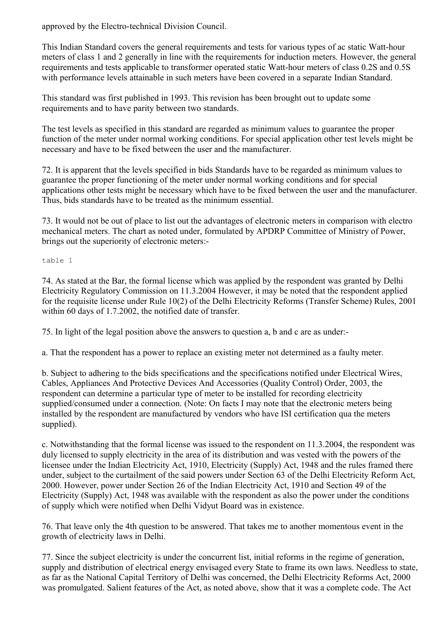approved by the Electro-technical Division Council.

This Indian Standard covers the general requirements and tests for various types of ac static Watt-hour meters of class 1 and 2 generally in line with the requirements for induction meters. However, the general requirements and tests applicable to transformer operated static Watt-hour meters of class 0.2S and 0.5S with performance levels attainable in such meters have been covered in a separate Indian Standard.

This standard was first published in 1993. This revision has been brought out to update some requirements and to have parity between two standards.

The test levels as specified in this standard are regarded as minimum values to guarantee the proper function of the meter under normal working conditions. For special application other test levels might be necessary and have to be fixed between the user and the manufacturer.

72. It is apparent that the levels specified in bids Standards have to be regarded as minimum values to guarantee the proper functioning of the meter under normal working conditions and for special applications other tests might be necessary which have to be fixed between the user and the manufacturer. Thus, bids standards have to be treated as the minimum essential.

73. It would not be out of place to list out the advantages of electronic meters in comparison with electro mechanical meters. The chart as noted under, formulated by APDRP Committee of Ministry of Power, brings out the superiority of electronic meters:-

table 1

74. As stated at the Bar, the formal license which was applied by the respondent was granted by Delhi Electricity Regulatory Commission on 11.3.2004 However, it may be noted that the respondent applied for the requisite license under Rule 10(2) of the Delhi Electricity Reforms (Transfer Scheme) Rules, 2001 within 60 days of 1.7.2002, the notified date of transfer.

75. In light of the legal position above the answers to question a, b and c are as under:-

a. That the respondent has a power to replace an existing meter not determined as a faulty meter.

b. Subject to adhering to the bids specifications and the specifications notified under Electrical Wires, Cables, Appliances And Protective Devices And Accessories (Quality Control) Order, 2003, the respondent can determine a particular type of meter to be installed for recording electricity supplied/consumed under a connection. (Note: On facts I may note that the electronic meters being installed by the respondent are manufactured by vendors who have ISI certification qua the meters supplied).

c. Notwithstanding that the formal license was issued to the respondent on 11.3.2004, the respondent was duly licensed to supply electricity in the area of its distribution and was vested with the powers of the licensee under the Indian Electricity Act, 1910, Electricity (Supply) Act, 1948 and the rules framed there under, subject to the curtailment of the said powers under Section 63 of the Delhi Electricity Reform Act, 2000. However, power under Section 26 of the Indian Electricity Act, 1910 and Section 49 of the Electricity (Supply) Act, 1948 was available with the respondent as also the power under the conditions of supply which were notified when Delhi Vidyut Board was in existence.

76. That leave only the 4th question to be answered. That takes me to another momentous event in the growth of electricity laws in Delhi.

77. Since the subject electricity is under the concurrent list, initial reforms in the regime of generation, supply and distribution of electrical energy envisaged every State to frame its own laws. Needless to state, as far as the National Capital Territory of Delhi was concerned, the Delhi Electricity Reforms Act, 2000 was promulgated. Salient features of the Act, as noted above, show that it was a complete code. The Act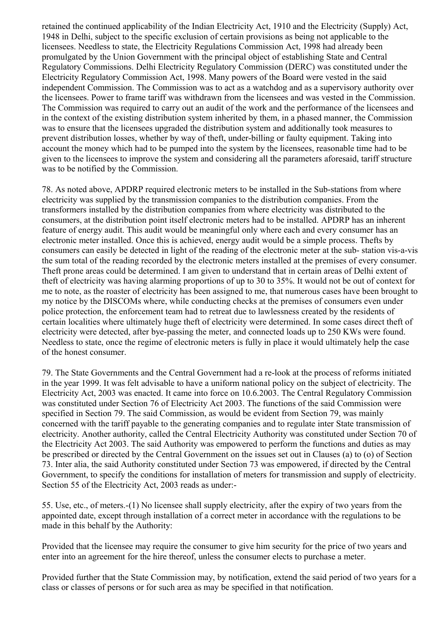retained the continued applicability of the Indian Electricity Act, 1910 and the Electricity (Supply) Act, 1948 in Delhi, subject to the specific exclusion of certain provisions as being not applicable to the licensees. Needless to state, the Electricity Regulations Commission Act, 1998 had already been promulgated by the Union Government with the principal object of establishing State and Central Regulatory Commissions. Delhi Electricity Regulatory Commission (DERC) was constituted under the Electricity Regulatory Commission Act, 1998. Many powers of the Board were vested in the said independent Commission. The Commission was to act as a watchdog and as a supervisory authority over the licensees. Power to frame tariff was withdrawn from the licensees and was vested in the Commission. The Commission was required to carry out an audit of the work and the performance of the licensees and in the context of the existing distribution system inherited by them, in a phased manner, the Commission was to ensure that the licensees upgraded the distribution system and additionally took measures to prevent distribution losses, whether by way of theft, under-billing or faulty equipment. Taking into account the money which had to be pumped into the system by the licensees, reasonable time had to be given to the licensees to improve the system and considering all the parameters aforesaid, tariff structure was to be notified by the Commission.

78. As noted above, APDRP required electronic meters to be installed in the Sub-stations from where electricity was supplied by the transmission companies to the distribution companies. From the transformers installed by the distribution companies from where electricity was distributed to the consumers, at the distribution point itself electronic meters had to be installed. APDRP has an inherent feature of energy audit. This audit would be meaningful only where each and every consumer has an electronic meter installed. Once this is achieved, energy audit would be a simple process. Thefts by consumers can easily be detected in light of the reading of the electronic meter at the sub- station vis-a-vis the sum total of the reading recorded by the electronic meters installed at the premises of every consumer. Theft prone areas could be determined. I am given to understand that in certain areas of Delhi extent of theft of electricity was having alarming proportions of up to 30 to 35%. It would not be out of context for me to note, as the roaster of electricity has been assigned to me, that numerous cases have been brought to my notice by the DISCOMs where, while conducting checks at the premises of consumers even under police protection, the enforcement team had to retreat due to lawlessness created by the residents of certain localities where ultimately huge theft of electricity were determined. In some cases direct theft of electricity were detected, after bye-passing the meter, and connected loads up to 250 KWs were found. Needless to state, once the regime of electronic meters is fully in place it would ultimately help the case of the honest consumer.

79. The State Governments and the Central Government had a re-look at the process of reforms initiated in the year 1999. It was felt advisable to have a uniform national policy on the subject of electricity. The Electricity Act, 2003 was enacted. It came into force on 10.6.2003. The Central Regulatory Commission was constituted under Section 76 of Electricity Act 2003. The functions of the said Commission were specified in Section 79. The said Commission, as would be evident from Section 79, was mainly concerned with the tariff payable to the generating companies and to regulate inter State transmission of electricity. Another authority, called the Central Electricity Authority was constituted under Section 70 of the Electricity Act 2003. The said Authority was empowered to perform the functions and duties as may be prescribed or directed by the Central Government on the issues set out in Clauses (a) to (o) of Section 73. Inter alia, the said Authority constituted under Section 73 was empowered, if directed by the Central Government, to specify the conditions for installation of meters for transmission and supply of electricity. Section 55 of the Electricity Act, 2003 reads as under:-

55. Use, etc., of meters.-(1) No licensee shall supply electricity, after the expiry of two years from the appointed date, except through installation of a correct meter in accordance with the regulations to be made in this behalf by the Authority:

Provided that the licensee may require the consumer to give him security for the price of two years and enter into an agreement for the hire thereof, unless the consumer elects to purchase a meter.

Provided further that the State Commission may, by notification, extend the said period of two years for a class or classes of persons or for such area as may be specified in that notification.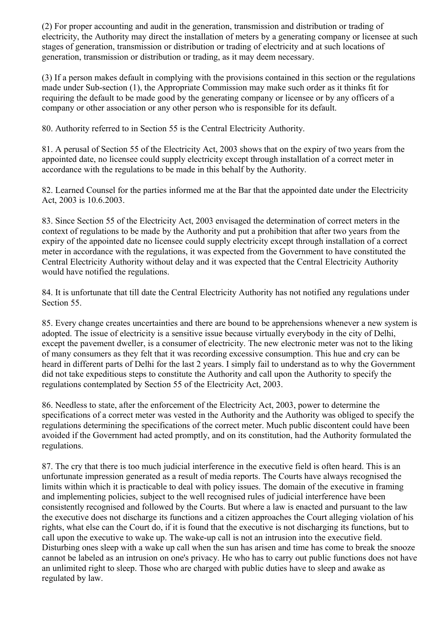(2) For proper accounting and audit in the generation, transmission and distribution or trading of electricity, the Authority may direct the installation of meters by a generating company or licensee at such stages of generation, transmission or distribution or trading of electricity and at such locations of generation, transmission or distribution or trading, as it may deem necessary.

(3) If a person makes default in complying with the provisions contained in this section or the regulations made under Sub-section (1), the Appropriate Commission may make such order as it thinks fit for requiring the default to be made good by the generating company or licensee or by any officers of a company or other association or any other person who is responsible for its default.

80. Authority referred to in Section 55 is the Central Electricity Authority.

81. A perusal of Section 55 of the Electricity Act, 2003 shows that on the expiry of two years from the appointed date, no licensee could supply electricity except through installation of a correct meter in accordance with the regulations to be made in this behalf by the Authority.

82. Learned Counsel for the parties informed me at the Bar that the appointed date under the Electricity Act, 2003 is 10.6.2003.

83. Since Section 55 of the Electricity Act, 2003 envisaged the determination of correct meters in the context of regulations to be made by the Authority and put a prohibition that after two years from the expiry of the appointed date no licensee could supply electricity except through installation of a correct meter in accordance with the regulations, it was expected from the Government to have constituted the Central Electricity Authority without delay and it was expected that the Central Electricity Authority would have notified the regulations.

84. It is unfortunate that till date the Central Electricity Authority has not notified any regulations under Section 55.

85. Every change creates uncertainties and there are bound to be apprehensions whenever a new system is adopted. The issue of electricity is a sensitive issue because virtually everybody in the city of Delhi, except the pavement dweller, is a consumer of electricity. The new electronic meter was not to the liking of many consumers as they felt that it was recording excessive consumption. This hue and cry can be heard in different parts of Delhi for the last 2 years. I simply fail to understand as to why the Government did not take expeditious steps to constitute the Authority and call upon the Authority to specify the regulations contemplated by Section 55 of the Electricity Act, 2003.

86. Needless to state, after the enforcement of the Electricity Act, 2003, power to determine the specifications of a correct meter was vested in the Authority and the Authority was obliged to specify the regulations determining the specifications of the correct meter. Much public discontent could have been avoided if the Government had acted promptly, and on its constitution, had the Authority formulated the regulations.

87. The cry that there is too much judicial interference in the executive field is often heard. This is an unfortunate impression generated as a result of media reports. The Courts have always recognised the limits within which it is practicable to deal with policy issues. The domain of the executive in framing and implementing policies, subject to the well recognised rules of judicial interference have been consistently recognised and followed by the Courts. But where a law is enacted and pursuant to the law the executive does not discharge its functions and a citizen approaches the Court alleging violation of his rights, what else can the Court do, if it is found that the executive is not discharging its functions, but to call upon the executive to wake up. The wake-up call is not an intrusion into the executive field. Disturbing ones sleep with a wake up call when the sun has arisen and time has come to break the snooze cannot be labeled as an intrusion on one's privacy. He who has to carry out public functions does not have an unlimited right to sleep. Those who are charged with public duties have to sleep and awake as regulated by law.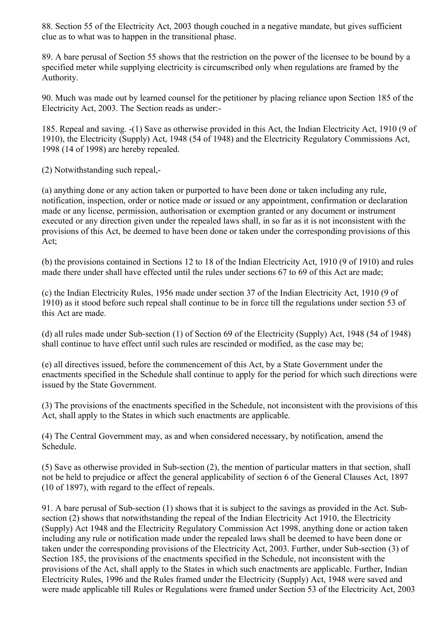88. Section 55 of the Electricity Act, 2003 though couched in a negative mandate, but gives sufficient clue as to what was to happen in the transitional phase.

89. A bare perusal of Section 55 shows that the restriction on the power of the licensee to be bound by a specified meter while supplying electricity is circumscribed only when regulations are framed by the Authority.

90. Much was made out by learned counsel for the petitioner by placing reliance upon Section 185 of the Electricity Act, 2003. The Section reads as under:-

185. Repeal and saving. -(1) Save as otherwise provided in this Act, the Indian Electricity Act, 1910 (9 of 1910), the Electricity (Supply) Act, 1948 (54 of 1948) and the Electricity Regulatory Commissions Act, 1998 (14 of 1998) are hereby repealed.

(2) Notwithstanding such repeal,-

(a) anything done or any action taken or purported to have been done or taken including any rule, notification, inspection, order or notice made or issued or any appointment, confirmation or declaration made or any license, permission, authorisation or exemption granted or any document or instrument executed or any direction given under the repealed laws shall, in so far as it is not inconsistent with the provisions of this Act, be deemed to have been done or taken under the corresponding provisions of this Act;

(b) the provisions contained in Sections 12 to 18 of the Indian Electricity Act, 1910 (9 of 1910) and rules made there under shall have effected until the rules under sections 67 to 69 of this Act are made;

(c) the Indian Electricity Rules, 1956 made under section 37 of the Indian Electricity Act, 1910 (9 of 1910) as it stood before such repeal shall continue to be in force till the regulations under section 53 of this Act are made.

(d) all rules made under Sub-section (1) of Section 69 of the Electricity (Supply) Act, 1948 (54 of 1948) shall continue to have effect until such rules are rescinded or modified, as the case may be;

(e) all directives issued, before the commencement of this Act, by a State Government under the enactments specified in the Schedule shall continue to apply for the period for which such directions were issued by the State Government.

(3) The provisions of the enactments specified in the Schedule, not inconsistent with the provisions of this Act, shall apply to the States in which such enactments are applicable.

(4) The Central Government may, as and when considered necessary, by notification, amend the Schedule.

(5) Save as otherwise provided in Sub-section (2), the mention of particular matters in that section, shall not be held to prejudice or affect the general applicability of section 6 of the General Clauses Act, 1897 (10 of 1897), with regard to the effect of repeals.

91. A bare perusal of Sub-section (1) shows that it is subject to the savings as provided in the Act. Subsection (2) shows that notwithstanding the repeal of the Indian Electricity Act 1910, the Electricity (Supply) Act 1948 and the Electricity Regulatory Commission Act 1998, anything done or action taken including any rule or notification made under the repealed laws shall be deemed to have been done or taken under the corresponding provisions of the Electricity Act, 2003. Further, under Sub-section (3) of Section 185, the provisions of the enactments specified in the Schedule, not inconsistent with the provisions of the Act, shall apply to the States in which such enactments are applicable. Further, Indian Electricity Rules, 1996 and the Rules framed under the Electricity (Supply) Act, 1948 were saved and were made applicable till Rules or Regulations were framed under Section 53 of the Electricity Act, 2003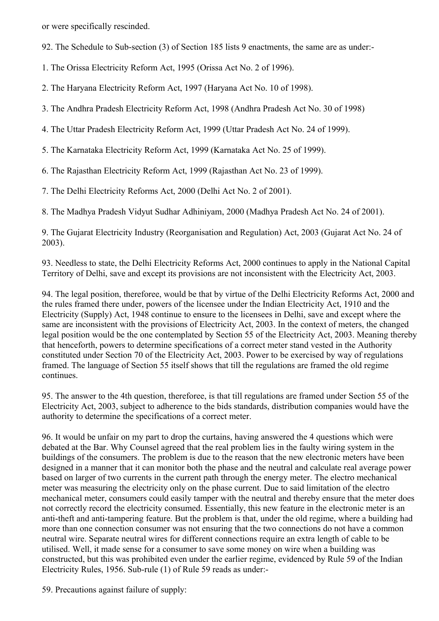or were specifically rescinded.

92. The Schedule to Sub-section (3) of Section 185 lists 9 enactments, the same are as under:-

1. The Orissa Electricity Reform Act, 1995 (Orissa Act No. 2 of 1996).

2. The Haryana Electricity Reform Act, 1997 (Haryana Act No. 10 of 1998).

3. The Andhra Pradesh Electricity Reform Act, 1998 (Andhra Pradesh Act No. 30 of 1998)

4. The Uttar Pradesh Electricity Reform Act, 1999 (Uttar Pradesh Act No. 24 of 1999).

5. The Karnataka Electricity Reform Act, 1999 (Karnataka Act No. 25 of 1999).

6. The Rajasthan Electricity Reform Act, 1999 (Rajasthan Act No. 23 of 1999).

7. The Delhi Electricity Reforms Act, 2000 (Delhi Act No. 2 of 2001).

8. The Madhya Pradesh Vidyut Sudhar Adhiniyam, 2000 (Madhya Pradesh Act No. 24 of 2001).

9. The Gujarat Electricity Industry (Reorganisation and Regulation) Act, 2003 (Gujarat Act No. 24 of 2003).

93. Needless to state, the Delhi Electricity Reforms Act, 2000 continues to apply in the National Capital Territory of Delhi, save and except its provisions are not inconsistent with the Electricity Act, 2003.

94. The legal position, thereforee, would be that by virtue of the Delhi Electricity Reforms Act, 2000 and the rules framed there under, powers of the licensee under the Indian Electricity Act, 1910 and the Electricity (Supply) Act, 1948 continue to ensure to the licensees in Delhi, save and except where the same are inconsistent with the provisions of Electricity Act, 2003. In the context of meters, the changed legal position would be the one contemplated by Section 55 of the Electricity Act, 2003. Meaning thereby that henceforth, powers to determine specifications of a correct meter stand vested in the Authority constituted under Section 70 of the Electricity Act, 2003. Power to be exercised by way of regulations framed. The language of Section 55 itself shows that till the regulations are framed the old regime continues.

95. The answer to the 4th question, thereforee, is that till regulations are framed under Section 55 of the Electricity Act, 2003, subject to adherence to the bids standards, distribution companies would have the authority to determine the specifications of a correct meter.

96. It would be unfair on my part to drop the curtains, having answered the 4 questions which were debated at the Bar. Why Counsel agreed that the real problem lies in the faulty wiring system in the buildings of the consumers. The problem is due to the reason that the new electronic meters have been designed in a manner that it can monitor both the phase and the neutral and calculate real average power based on larger of two currents in the current path through the energy meter. The electro mechanical meter was measuring the electricity only on the phase current. Due to said limitation of the electro mechanical meter, consumers could easily tamper with the neutral and thereby ensure that the meter does not correctly record the electricity consumed. Essentially, this new feature in the electronic meter is an anti-theft and anti-tampering feature. But the problem is that, under the old regime, where a building had more than one connection consumer was not ensuring that the two connections do not have a common neutral wire. Separate neutral wires for different connections require an extra length of cable to be utilised. Well, it made sense for a consumer to save some money on wire when a building was constructed, but this was prohibited even under the earlier regime, evidenced by Rule 59 of the Indian Electricity Rules, 1956. Sub-rule (1) of Rule 59 reads as under:-

59. Precautions against failure of supply: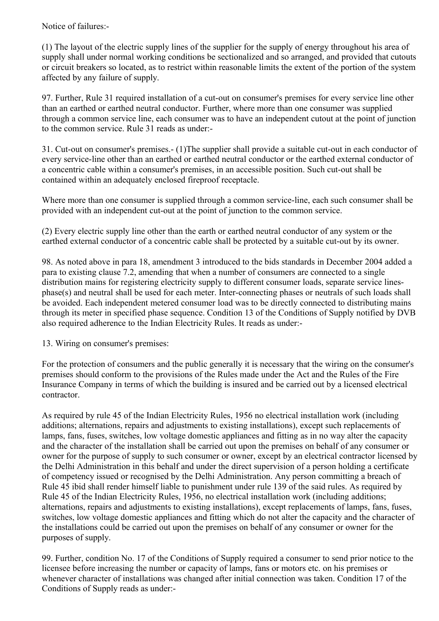Notice of failures:-

(1) The layout of the electric supply lines of the supplier for the supply of energy throughout his area of supply shall under normal working conditions be sectionalized and so arranged, and provided that cutouts or circuit breakers so located, as to restrict within reasonable limits the extent of the portion of the system affected by any failure of supply.

97. Further, Rule 31 required installation of a cut-out on consumer's premises for every service line other than an earthed or earthed neutral conductor. Further, where more than one consumer was supplied through a common service line, each consumer was to have an independent cutout at the point of junction to the common service. Rule 31 reads as under:-

31. Cut-out on consumer's premises.- (1)The supplier shall provide a suitable cut-out in each conductor of every service-line other than an earthed or earthed neutral conductor or the earthed external conductor of a concentric cable within a consumer's premises, in an accessible position. Such cut-out shall be contained within an adequately enclosed fireproof receptacle.

Where more than one consumer is supplied through a common service-line, each such consumer shall be provided with an independent cut-out at the point of junction to the common service.

(2) Every electric supply line other than the earth or earthed neutral conductor of any system or the earthed external conductor of a concentric cable shall be protected by a suitable cut-out by its owner.

98. As noted above in para 18, amendment 3 introduced to the bids standards in December 2004 added a para to existing clause 7.2, amending that when a number of consumers are connected to a single distribution mains for registering electricity supply to different consumer loads, separate service linesphase(s) and neutral shall be used for each meter. Inter-connecting phases or neutrals of such loads shall be avoided. Each independent metered consumer load was to be directly connected to distributing mains through its meter in specified phase sequence. Condition 13 of the Conditions of Supply notified by DVB also required adherence to the Indian Electricity Rules. It reads as under:-

13. Wiring on consumer's premises:

For the protection of consumers and the public generally it is necessary that the wiring on the consumer's premises should conform to the provisions of the Rules made under the Act and the Rules of the Fire Insurance Company in terms of which the building is insured and be carried out by a licensed electrical contractor.

As required by rule 45 of the Indian Electricity Rules, 1956 no electrical installation work (including additions; alternations, repairs and adjustments to existing installations), except such replacements of lamps, fans, fuses, switches, low voltage domestic appliances and fitting as in no way alter the capacity and the character of the installation shall be carried out upon the premises on behalf of any consumer or owner for the purpose of supply to such consumer or owner, except by an electrical contractor licensed by the Delhi Administration in this behalf and under the direct supervision of a person holding a certificate of competency issued or recognised by the Delhi Administration. Any person committing a breach of Rule 45 ibid shall render himself liable to punishment under rule 139 of the said rules. As required by Rule 45 of the Indian Electricity Rules, 1956, no electrical installation work (including additions; alternations, repairs and adjustments to existing installations), except replacements of lamps, fans, fuses, switches, low voltage domestic appliances and fitting which do not alter the capacity and the character of the installations could be carried out upon the premises on behalf of any consumer or owner for the purposes of supply.

99. Further, condition No. 17 of the Conditions of Supply required a consumer to send prior notice to the licensee before increasing the number or capacity of lamps, fans or motors etc. on his premises or whenever character of installations was changed after initial connection was taken. Condition 17 of the Conditions of Supply reads as under:-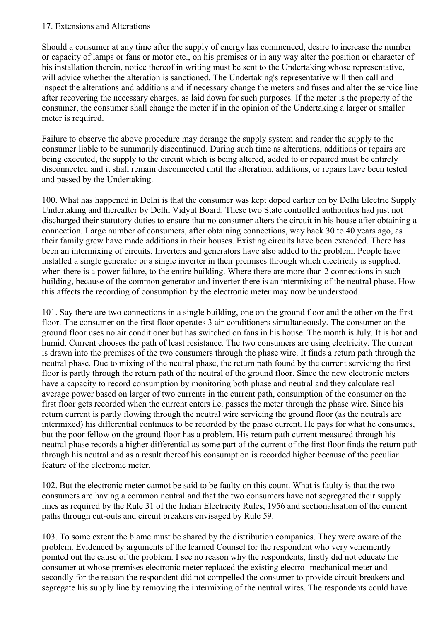### 17. Extensions and Alterations

Should a consumer at any time after the supply of energy has commenced, desire to increase the number or capacity of lamps or fans or motor etc., on his premises or in any way alter the position or character of his installation therein, notice thereof in writing must be sent to the Undertaking whose representative, will advice whether the alteration is sanctioned. The Undertaking's representative will then call and inspect the alterations and additions and if necessary change the meters and fuses and alter the service line after recovering the necessary charges, as laid down for such purposes. If the meter is the property of the consumer, the consumer shall change the meter if in the opinion of the Undertaking a larger or smaller meter is required.

Failure to observe the above procedure may derange the supply system and render the supply to the consumer liable to be summarily discontinued. During such time as alterations, additions or repairs are being executed, the supply to the circuit which is being altered, added to or repaired must be entirely disconnected and it shall remain disconnected until the alteration, additions, or repairs have been tested and passed by the Undertaking.

100. What has happened in Delhi is that the consumer was kept doped earlier on by Delhi Electric Supply Undertaking and thereafter by Delhi Vidyut Board. These two State controlled authorities had just not discharged their statutory duties to ensure that no consumer alters the circuit in his house after obtaining a connection. Large number of consumers, after obtaining connections, way back 30 to 40 years ago, as their family grew have made additions in their houses. Existing circuits have been extended. There has been an intermixing of circuits. Inverters and generators have also added to the problem. People have installed a single generator or a single inverter in their premises through which electricity is supplied, when there is a power failure, to the entire building. Where there are more than 2 connections in such building, because of the common generator and inverter there is an intermixing of the neutral phase. How this affects the recording of consumption by the electronic meter may now be understood.

101. Say there are two connections in a single building, one on the ground floor and the other on the first floor. The consumer on the first floor operates 3 air-conditioners simultaneously. The consumer on the ground floor uses no air conditioner but has switched on fans in his house. The month is July. It is hot and humid. Current chooses the path of least resistance. The two consumers are using electricity. The current is drawn into the premises of the two consumers through the phase wire. It finds a return path through the neutral phase. Due to mixing of the neutral phase, the return path found by the current servicing the first floor is partly through the return path of the neutral of the ground floor. Since the new electronic meters have a capacity to record consumption by monitoring both phase and neutral and they calculate real average power based on larger of two currents in the current path, consumption of the consumer on the first floor gets recorded when the current enters i.e. passes the meter through the phase wire. Since his return current is partly flowing through the neutral wire servicing the ground floor (as the neutrals are intermixed) his differential continues to be recorded by the phase current. He pays for what he consumes, but the poor fellow on the ground floor has a problem. His return path current measured through his neutral phase records a higher differential as some part of the current of the first floor finds the return path through his neutral and as a result thereof his consumption is recorded higher because of the peculiar feature of the electronic meter.

102. But the electronic meter cannot be said to be faulty on this count. What is faulty is that the two consumers are having a common neutral and that the two consumers have not segregated their supply lines as required by the Rule 31 of the Indian Electricity Rules, 1956 and sectionalisation of the current paths through cut-outs and circuit breakers envisaged by Rule 59.

103. To some extent the blame must be shared by the distribution companies. They were aware of the problem. Evidenced by arguments of the learned Counsel for the respondent who very vehemently pointed out the cause of the problem. I see no reason why the respondents, firstly did not educate the consumer at whose premises electronic meter replaced the existing electro- mechanical meter and secondly for the reason the respondent did not compelled the consumer to provide circuit breakers and segregate his supply line by removing the intermixing of the neutral wires. The respondents could have